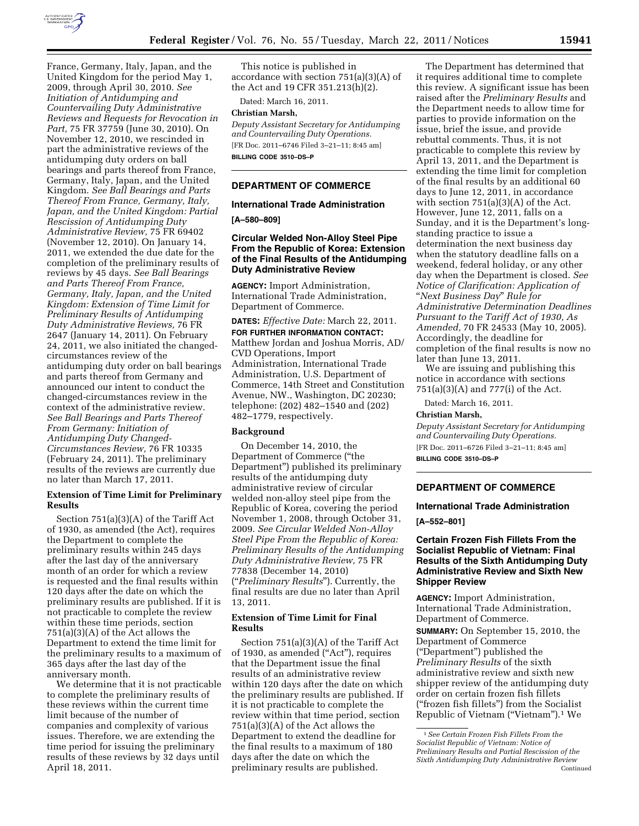

France, Germany, Italy, Japan, and the United Kingdom for the period May 1, 2009, through April 30, 2010. *See Initiation of Antidumping and Countervailing Duty Administrative Reviews and Requests for Revocation in Part,* 75 FR 37759 (June 30, 2010). On November 12, 2010, we rescinded in part the administrative reviews of the antidumping duty orders on ball bearings and parts thereof from France, Germany, Italy, Japan, and the United Kingdom. *See Ball Bearings and Parts Thereof From France, Germany, Italy, Japan, and the United Kingdom: Partial Rescission of Antidumping Duty Administrative Review,* 75 FR 69402 (November 12, 2010). On January 14, 2011, we extended the due date for the completion of the preliminary results of reviews by 45 days. *See Ball Bearings and Parts Thereof From France, Germany, Italy, Japan, and the United Kingdom: Extension of Time Limit for Preliminary Results of Antidumping Duty Administrative Reviews,* 76 FR 2647 (January 14, 2011). On February 24, 2011, we also initiated the changedcircumstances review of the antidumping duty order on ball bearings and parts thereof from Germany and announced our intent to conduct the changed-circumstances review in the context of the administrative review. *See Ball Bearings and Parts Thereof From Germany: Initiation of Antidumping Duty Changed-Circumstances Review,* 76 FR 10335 (February 24, 2011). The preliminary results of the reviews are currently due no later than March 17, 2011.

## **Extension of Time Limit for Preliminary Results**

Section 751(a)(3)(A) of the Tariff Act of 1930, as amended (the Act), requires the Department to complete the preliminary results within 245 days after the last day of the anniversary month of an order for which a review is requested and the final results within 120 days after the date on which the preliminary results are published. If it is not practicable to complete the review within these time periods, section 751(a)(3)(A) of the Act allows the Department to extend the time limit for the preliminary results to a maximum of 365 days after the last day of the anniversary month.

We determine that it is not practicable to complete the preliminary results of these reviews within the current time limit because of the number of companies and complexity of various issues. Therefore, we are extending the time period for issuing the preliminary results of these reviews by 32 days until April 18, 2011.

This notice is published in accordance with section 751(a)(3)(A) of the Act and 19 CFR 351.213(h)(2).

Dated: March 16, 2011.

# **Christian Marsh,**

*Deputy Assistant Secretary for Antidumping and Countervailing Duty Operations.*  [FR Doc. 2011–6746 Filed 3–21–11; 8:45 am] **BILLING CODE 3510–DS–P** 

# **DEPARTMENT OF COMMERCE**

# **International Trade Administration**

**[A–580–809]** 

# **Circular Welded Non-Alloy Steel Pipe From the Republic of Korea: Extension of the Final Results of the Antidumping Duty Administrative Review**

**AGENCY:** Import Administration, International Trade Administration, Department of Commerce.

**DATES:** *Effective Date:* March 22, 2011.

**FOR FURTHER INFORMATION CONTACT:**  Matthew Jordan and Joshua Morris, AD/ CVD Operations, Import Administration, International Trade Administration, U.S. Department of Commerce, 14th Street and Constitution Avenue, NW., Washington, DC 20230; telephone: (202) 482–1540 and (202) 482–1779, respectively.

### **Background**

On December 14, 2010, the Department of Commerce (''the Department'') published its preliminary results of the antidumping duty administrative review of circular welded non-alloy steel pipe from the Republic of Korea, covering the period November 1, 2008, through October 31, 2009. *See Circular Welded Non-Alloy Steel Pipe From the Republic of Korea: Preliminary Results of the Antidumping Duty Administrative Review,* 75 FR 77838 (December 14, 2010) (''*Preliminary Results*''). Currently, the final results are due no later than April 13, 2011.

# **Extension of Time Limit for Final Results**

Section 751(a)(3)(A) of the Tariff Act of 1930, as amended (''Act''), requires that the Department issue the final results of an administrative review within 120 days after the date on which the preliminary results are published. If it is not practicable to complete the review within that time period, section 751(a)(3)(A) of the Act allows the Department to extend the deadline for the final results to a maximum of 180 days after the date on which the preliminary results are published.

The Department has determined that it requires additional time to complete this review. A significant issue has been raised after the *Preliminary Results* and the Department needs to allow time for parties to provide information on the issue, brief the issue, and provide rebuttal comments. Thus, it is not practicable to complete this review by April 13, 2011, and the Department is extending the time limit for completion of the final results by an additional 60 days to June 12, 2011, in accordance with section 751(a)(3)(A) of the Act. However, June 12, 2011, falls on a Sunday, and it is the Department's longstanding practice to issue a determination the next business day when the statutory deadline falls on a weekend, federal holiday, or any other day when the Department is closed. *See Notice of Clarification: Application of*  ''*Next Business Day*'' *Rule for Administrative Determination Deadlines Pursuant to the Tariff Act of 1930, As Amended,* 70 FR 24533 (May 10, 2005). Accordingly, the deadline for completion of the final results is now no later than June 13, 2011.

We are issuing and publishing this notice in accordance with sections 751(a)(3)(A) and 777(i) of the Act.

Dated: March 16, 2011.

### **Christian Marsh,**

*Deputy Assistant Secretary for Antidumping and Countervailing Duty Operations.*  [FR Doc. 2011–6726 Filed 3–21–11; 8:45 am]

**BILLING CODE 3510–DS–P** 

# **DEPARTMENT OF COMMERCE**

# **International Trade Administration**

**[A–552–801]** 

# **Certain Frozen Fish Fillets From the Socialist Republic of Vietnam: Final Results of the Sixth Antidumping Duty Administrative Review and Sixth New Shipper Review**

**AGENCY:** Import Administration, International Trade Administration, Department of Commerce.

**SUMMARY:** On September 15, 2010, the Department of Commerce (''Department'') published the *Preliminary Results* of the sixth administrative review and sixth new shipper review of the antidumping duty order on certain frozen fish fillets (''frozen fish fillets'') from the Socialist Republic of Vietnam (''Vietnam'').1 We

<sup>1</sup>*See Certain Frozen Fish Fillets From the Socialist Republic of Vietnam: Notice of Preliminary Results and Partial Rescission of the Sixth Antidumping Duty Administrative Review*  Continued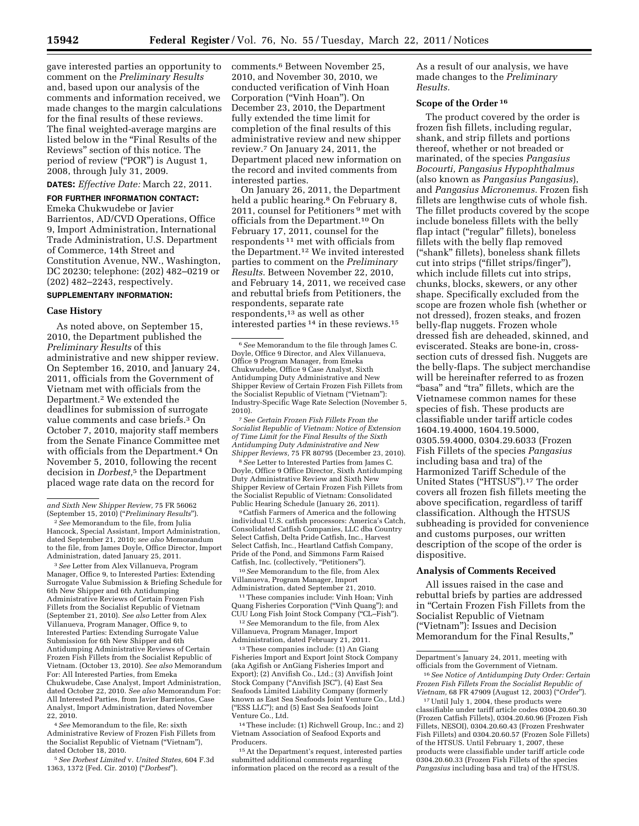gave interested parties an opportunity to comment on the *Preliminary Results*  and, based upon our analysis of the comments and information received, we made changes to the margin calculations for the final results of these reviews. The final weighted-average margins are listed below in the ''Final Results of the Reviews'' section of this notice. The period of review ("POR") is August 1, 2008, through July 31, 2009.

**DATES:** *Effective Date:* March 22, 2011.

## **FOR FURTHER INFORMATION CONTACT:**

Emeka Chukwudebe or Javier Barrientos, AD/CVD Operations, Office 9, Import Administration, International Trade Administration, U.S. Department of Commerce, 14th Street and Constitution Avenue, NW., Washington, DC 20230; telephone: (202) 482–0219 or (202) 482–2243, respectively.

## **SUPPLEMENTARY INFORMATION:**

## **Case History**

As noted above, on September 15, 2010, the Department published the *Preliminary Results* of this administrative and new shipper review. On September 16, 2010, and January 24, 2011, officials from the Government of Vietnam met with officials from the Department.2 We extended the deadlines for submission of surrogate value comments and case briefs.3 On October 7, 2010, majority staff members from the Senate Finance Committee met with officials from the Department.<sup>4</sup> On November 5, 2010, following the recent decision in *Dorbest,*5 the Department placed wage rate data on the record for

2*See* Memorandum to the file, from Julia Hancock, Special Assistant, Import Administration, dated September 21, 2010; *see also* Memorandum to the file, from James Doyle, Office Director, Import Administration, dated January 25, 2011.

3*See* Letter from Alex Villanueva, Program Manager, Office 9, to Interested Parties: Extending Surrogate Value Submission & Briefing Schedule for 6th New Shipper and 6th Antidumping Administrative Reviews of Certain Frozen Fish Fillets from the Socialist Republic of Vietnam (September 21, 2010). *See also* Letter from Alex Villanueva, Program Manager, Office 9, to Interested Parties: Extending Surrogate Value Submission for 6th New Shipper and 6th Antidumping Administrative Reviews of Certain Frozen Fish Fillets from the Socialist Republic of Vietnam. (October 13, 2010). *See also* Memorandum For: All Interested Parties, from Emeka Chukwudebe, Case Analyst, Import Administration, dated October 22, 2010. *See also* Memorandum For: All Interested Parties, from Javier Barrientos, Case Analyst, Import Administration, dated November 22, 2010.

4*See* Memorandum to the file, Re: sixth Administrative Review of Frozen Fish Fillets from the Socialist Republic of Vietnam (''Vietnam''), dated October 18, 2010.

5*See Dorbest Limited* v. *United States,* 604 F.3d 1363, 1372 (Fed. Cir. 2010) (''*Dorbest*'').

comments.6 Between November 25, 2010, and November 30, 2010, we conducted verification of Vinh Hoan Corporation (''Vinh Hoan''). On December 23, 2010, the Department fully extended the time limit for completion of the final results of this administrative review and new shipper review.7 On January 24, 2011, the Department placed new information on the record and invited comments from interested parties.

On January 26, 2011, the Department held a public hearing.<sup>8</sup> On February 8, 2011, counsel for Petitioners 9 met with officials from the Department.10 On February 17, 2011, counsel for the respondents 11 met with officials from the Department.12 We invited interested parties to comment on the *Preliminary Results.* Between November 22, 2010, and February 14, 2011, we received case and rebuttal briefs from Petitioners, the respondents, separate rate respondents,13 as well as other interested parties 14 in these reviews.15

7*See Certain Frozen Fish Fillets From the Socialist Republic of Vietnam: Notice of Extension of Time Limit for the Final Results of the Sixth Antidumping Duty Administrative and New Shipper Reviews,* 75 FR 80795 (December 23, 2010).

8*See* Letter to Interested Parties from James C. Doyle, Office 9 Office Director, Sixth Antidumping Duty Administrative Review and Sixth New Shipper Review of Certain Frozen Fish Fillets from the Socialist Republic of Vietnam: Consolidated Public Hearing Schedule (January 26, 2011).

9Catfish Farmers of America and the following individual U.S. catfish processors: America's Catch, Consolidated Catfish Companies, LLC dba Country Select Catfish, Delta Pride Catfish, Inc., Harvest Select Catfish, Inc., Heartland Catfish Company, Pride of the Pond, and Simmons Farm Raised Catfish, Inc. (collectively, "Petitioners").

10*See* Memorandum to the file, from Alex Villanueva, Program Manager, Import Administration, dated September 21, 2010.

11These companies include: Vinh Hoan; Vinh Quang Fisheries Corporation (''Vinh Quang''); and CUU Long Fish Joint Stock Company (''CL–Fish'').

12*See* Memorandum to the file, from Alex Villanueva, Program Manager, Import Administration, dated February 21, 2011.

13These companies include: (1) An Giang Fisheries Import and Export Joint Stock Company (aka Agifish or AnGiang Fisheries Import and Export); (2) Anvifish Co., Ltd.; (3) Anvifish Joint Stock Company (''Anvifish JSC''), (4) East Sea Seafoods Limited Liability Company (formerly known as East Sea Seafoods Joint Venture Co., Ltd.) (''ESS LLC''); and (5) East Sea Seafoods Joint Venture Co., Ltd.

14These include: (1) Richwell Group, Inc.; and 2) Vietnam Association of Seafood Exports and Producers.

15At the Department's request, interested parties submitted additional comments regarding information placed on the record as a result of the

As a result of our analysis, we have made changes to the *Preliminary Results.* 

## **Scope of the Order 16**

The product covered by the order is frozen fish fillets, including regular, shank, and strip fillets and portions thereof, whether or not breaded or marinated, of the species *Pangasius Bocourti, Pangasius Hypophthalmus*  (also known as *Pangasius Pangasius*), and *Pangasius Micronemus.* Frozen fish fillets are lengthwise cuts of whole fish. The fillet products covered by the scope include boneless fillets with the belly flap intact ("regular" fillets), boneless fillets with the belly flap removed (''shank'' fillets), boneless shank fillets cut into strips ("fillet strips/finger"), which include fillets cut into strips, chunks, blocks, skewers, or any other shape. Specifically excluded from the scope are frozen whole fish (whether or not dressed), frozen steaks, and frozen belly-flap nuggets. Frozen whole dressed fish are deheaded, skinned, and eviscerated. Steaks are bone-in, crosssection cuts of dressed fish. Nuggets are the belly-flaps. The subject merchandise will be hereinafter referred to as frozen "basa" and "tra" fillets, which are the Vietnamese common names for these species of fish. These products are classifiable under tariff article codes 1604.19.4000, 1604.19.5000, 0305.59.4000, 0304.29.6033 (Frozen Fish Fillets of the species *Pangasius*  including basa and tra) of the Harmonized Tariff Schedule of the United States (''HTSUS'').17 The order covers all frozen fish fillets meeting the above specification, regardless of tariff classification. Although the HTSUS subheading is provided for convenience and customs purposes, our written description of the scope of the order is dispositive.

#### **Analysis of Comments Received**

All issues raised in the case and rebuttal briefs by parties are addressed in ''Certain Frozen Fish Fillets from the Socialist Republic of Vietnam (''Vietnam''): Issues and Decision Memorandum for the Final Results,''

*and Sixth New Shipper Review,* 75 FR 56062 (September 15, 2010) (''*Preliminary Results*'').

<sup>6</sup>*See* Memorandum to the file through James C. Doyle, Office 9 Director, and Alex Villanueva, Office 9 Program Manager, from Emeka Chukwudebe, Office 9 Case Analyst, Sixth Antidumping Duty Administrative and New Shipper Review of Certain Frozen Fish Fillets from the Socialist Republic of Vietnam (''Vietnam''): Industry-Specific Wage Rate Selection (November 5, 2010).

Department's January 24, 2011, meeting with officials from the Government of Vietnam.

<sup>16</sup>*See Notice of Antidumping Duty Order: Certain Frozen Fish Fillets From the Socialist Republic of Vietnam,* 68 FR 47909 (August 12, 2003) (''*Order*'').

<sup>17</sup>Until July 1, 2004, these products were classifiable under tariff article codes 0304.20.60.30 (Frozen Catfish Fillets), 0304.20.60.96 (Frozen Fish Fillets, NESOI), 0304.20.60.43 (Frozen Freshwater Fish Fillets) and 0304.20.60.57 (Frozen Sole Fillets) of the HTSUS. Until February 1, 2007, these products were classifiable under tariff article code 0304.20.60.33 (Frozen Fish Fillets of the species *Pangasius* including basa and tra) of the HTSUS.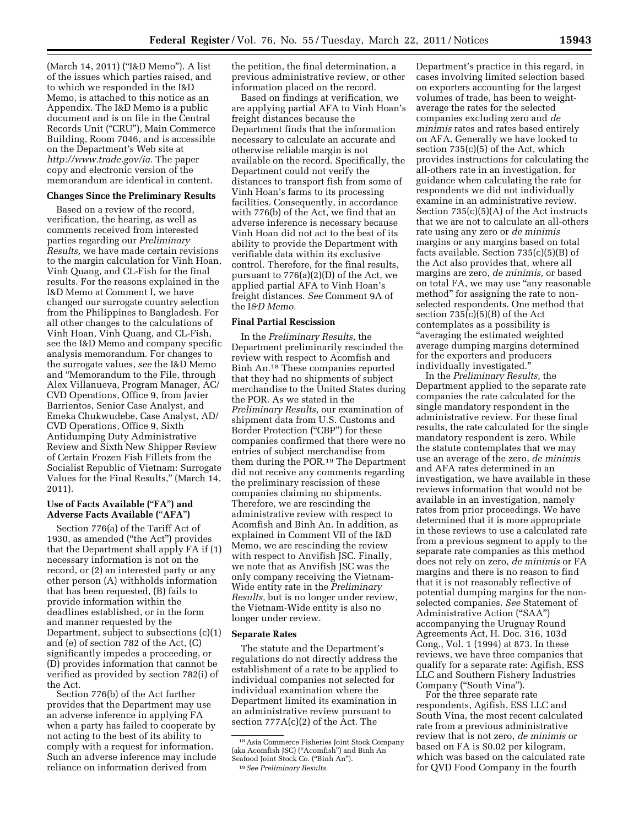(March 14, 2011) (''I&D Memo''). A list of the issues which parties raised, and to which we responded in the I&D Memo, is attached to this notice as an Appendix. The I&D Memo is a public document and is on file in the Central Records Unit (''CRU''), Main Commerce Building, Room 7046, and is accessible on the Department's Web site at *[http://www.trade.gov/ia.](http://www.trade.gov/ia)* The paper copy and electronic version of the memorandum are identical in content.

## **Changes Since the Preliminary Results**

Based on a review of the record, verification, the hearing, as well as comments received from interested parties regarding our *Preliminary Results,* we have made certain revisions to the margin calculation for Vinh Hoan, Vinh Quang, and CL-Fish for the final results. For the reasons explained in the I&D Memo at Comment I, we have changed our surrogate country selection from the Philippines to Bangladesh. For all other changes to the calculations of Vinh Hoan, Vinh Quang, and CL-Fish, see the I&D Memo and company specific analysis memorandum. For changes to the surrogate values, *see* the I&D Memo and ''Memorandum to the File, through Alex Villanueva, Program Manager, AC/ CVD Operations, Office 9, from Javier Barrientos, Senior Case Analyst, and Emeka Chukwudebe, Case Analyst, AD/ CVD Operations, Office 9, Sixth Antidumping Duty Administrative Review and Sixth New Shipper Review of Certain Frozen Fish Fillets from the Socialist Republic of Vietnam: Surrogate Values for the Final Results,'' (March 14, 2011).

# **Use of Facts Available (**''**FA**''**) and Adverse Facts Available (**''**AFA**''**)**

Section 776(a) of the Tariff Act of 1930, as amended (''the Act'') provides that the Department shall apply FA if (1) necessary information is not on the record, or (2) an interested party or any other person (A) withholds information that has been requested, (B) fails to provide information within the deadlines established, or in the form and manner requested by the Department, subject to subsections (c)(1) and (e) of section 782 of the Act, (C) significantly impedes a proceeding, or (D) provides information that cannot be verified as provided by section 782(i) of the Act.

Section 776(b) of the Act further provides that the Department may use an adverse inference in applying FA when a party has failed to cooperate by not acting to the best of its ability to comply with a request for information. Such an adverse inference may include reliance on information derived from

the petition, the final determination, a previous administrative review, or other information placed on the record.

Based on findings at verification, we are applying partial AFA to Vinh Hoan's freight distances because the Department finds that the information necessary to calculate an accurate and otherwise reliable margin is not available on the record. Specifically, the Department could not verify the distances to transport fish from some of Vinh Hoan's farms to its processing facilities. Consequently, in accordance with 776(b) of the Act, we find that an adverse inference is necessary because Vinh Hoan did not act to the best of its ability to provide the Department with verifiable data within its exclusive control. Therefore, for the final results, pursuant to 776(a)(2)(D) of the Act, we applied partial AFA to Vinh Hoan's freight distances. *See* Comment 9A of the I*&D Memo.* 

# **Final Partial Rescission**

In the *Preliminary Results,* the Department preliminarily rescinded the review with respect to Acomfish and Binh An.18 These companies reported that they had no shipments of subject merchandise to the United States during the POR. As we stated in the *Preliminary Results,* our examination of shipment data from U.S. Customs and Border Protection (''CBP'') for these companies confirmed that there were no entries of subject merchandise from them during the POR.19 The Department did not receive any comments regarding the preliminary rescission of these companies claiming no shipments. Therefore, we are rescinding the administrative review with respect to Acomfish and Binh An. In addition, as explained in Comment VII of the I&D Memo, we are rescinding the review with respect to Anvifish JSC. Finally, we note that as Anvifish JSC was the only company receiving the Vietnam-Wide entity rate in the *Preliminary Results,* but is no longer under review, the Vietnam-Wide entity is also no longer under review.

## **Separate Rates**

The statute and the Department's regulations do not directly address the establishment of a rate to be applied to individual companies not selected for individual examination where the Department limited its examination in an administrative review pursuant to section 777A(c)(2) of the Act. The

Department's practice in this regard, in cases involving limited selection based on exporters accounting for the largest volumes of trade, has been to weightaverage the rates for the selected companies excluding zero and *de minimis* rates and rates based entirely on AFA. Generally we have looked to section 735(c)(5) of the Act, which provides instructions for calculating the all-others rate in an investigation, for guidance when calculating the rate for respondents we did not individually examine in an administrative review. Section 735(c)(5)(A) of the Act instructs that we are not to calculate an all-others rate using any zero or *de minimis*  margins or any margins based on total facts available. Section 735(c)(5)(B) of the Act also provides that, where all margins are zero, *de minimis,* or based on total FA, we may use "any reasonable" method'' for assigning the rate to nonselected respondents. One method that section 735(c)(5)(B) of the Act contemplates as a possibility is ''averaging the estimated weighted average dumping margins determined for the exporters and producers individually investigated.''

In the *Preliminary Results,* the Department applied to the separate rate companies the rate calculated for the single mandatory respondent in the administrative review. For these final results, the rate calculated for the single mandatory respondent is zero. While the statute contemplates that we may use an average of the zero, *de minimis*  and AFA rates determined in an investigation, we have available in these reviews information that would not be available in an investigation, namely rates from prior proceedings. We have determined that it is more appropriate in these reviews to use a calculated rate from a previous segment to apply to the separate rate companies as this method does not rely on zero, *de minimis* or FA margins and there is no reason to find that it is not reasonably reflective of potential dumping margins for the nonselected companies. *See* Statement of Administrative Action ("SAA") accompanying the Uruguay Round Agreements Act, H. Doc. 316, 103d Cong., Vol. 1 (1994) at 873. In these reviews, we have three companies that qualify for a separate rate: Agifish, ESS LLC and Southern Fishery Industries Company (''South Vina'').

For the three separate rate respondents, Agifish, ESS LLC and South Vina, the most recent calculated rate from a previous administrative review that is not zero, *de minimis* or based on FA is \$0.02 per kilogram, which was based on the calculated rate for QVD Food Company in the fourth

<sup>18</sup>Asia Commerce Fisheries Joint Stock Company (aka Acomfish JSC) (''Acomfish'') and Binh An Seafood Joint Stock Co. (''Binh An''). 19*See Preliminary Results.*